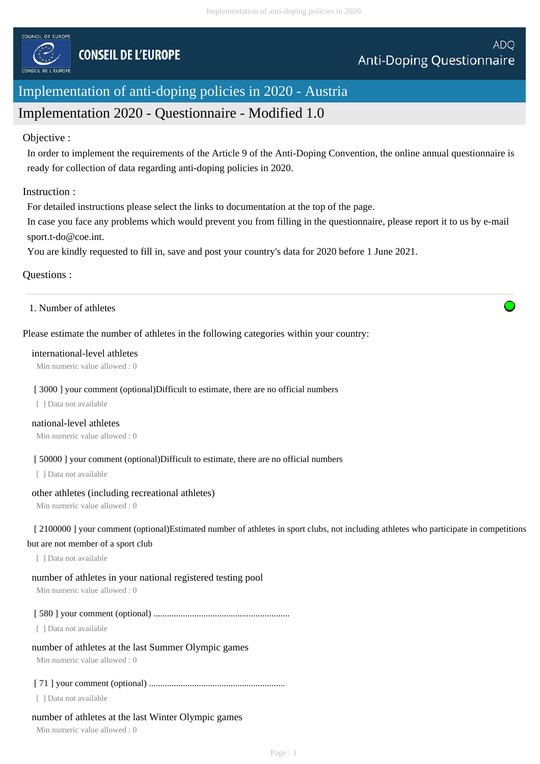

# Implementation of anti-doping policies in 2020 - Austria

# Implementation 2020 - Questionnaire - Modified 1.0

### Objective :

In order to implement the requirements of the Article 9 of the Anti-Doping Convention, the online annual questionnaire is ready for collection of data regarding anti-doping policies in 2020.

### Instruction :

For detailed instructions please select the links to documentation at the top of the page.

In case you face any problems which would prevent you from filling in the questionnaire, please report it to us by e-mail sport.t-do@coe.int.

You are kindly requested to fill in, save and post your country's data for 2020 before 1 June 2021.

### Questions :

1. Number of athletes

### Please estimate the number of athletes in the following categories within your country:

#### international-level athletes

Min numeric value allowed : 0

#### [ 3000 ] your comment (optional)Difficult to estimate, there are no official numbers

[ ] Data not available

#### national-level athletes

Min numeric value allowed : 0

#### [  $50000$  ] your comment (optional)Difficult to estimate, there are no official numbers

[ ] Data not available

### other athletes (including recreational athletes)

Min numeric value allowed : 0

## [ 2100000 ] your comment (optional)Estimated number of athletes in sport clubs, not including athletes who participate in competitions

#### but are not member of a sport club

[ ] Data not available

#### number of athletes in your national registered testing pool

Min numeric value allowed : 0

#### [ 580 ] your comment (optional) ............................................................

[ ] Data not available

#### number of athletes at the last Summer Olympic games

Min numeric value allowed : 0

### [ 71 ] your comment (optional) ............................................................

[ ] Data not available

### number of athletes at the last Winter Olympic games

Min numeric value allowed : 0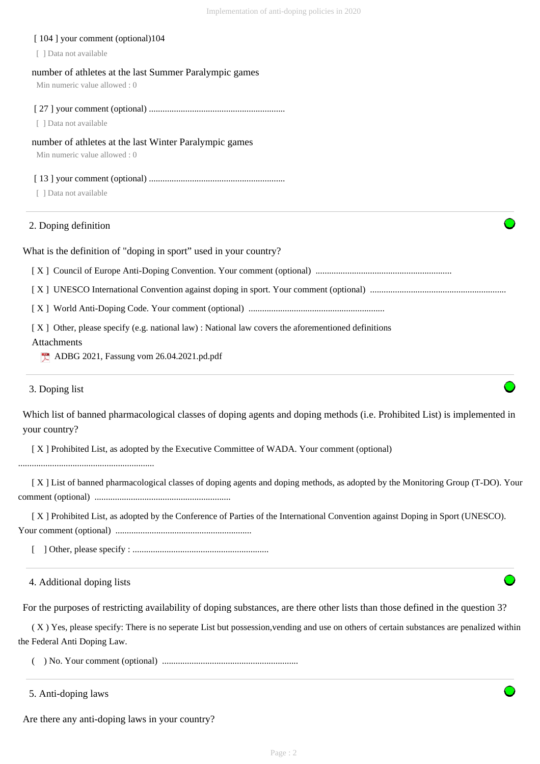| [104] your comment (optional)104<br>[ ] Data not available                                                                                                                         |
|------------------------------------------------------------------------------------------------------------------------------------------------------------------------------------|
| number of athletes at the last Summer Paralympic games<br>Min numeric value allowed: 0                                                                                             |
| [ ] Data not available                                                                                                                                                             |
| number of athletes at the last Winter Paralympic games<br>Min numeric value allowed: 0                                                                                             |
| [ ] Data not available                                                                                                                                                             |
| 2. Doping definition                                                                                                                                                               |
| What is the definition of "doping in sport" used in your country?                                                                                                                  |
|                                                                                                                                                                                    |
|                                                                                                                                                                                    |
|                                                                                                                                                                                    |
| [X] Other, please specify (e.g. national law): National law covers the aforementioned definitions<br>Attachments<br>$\blacktriangleright$ ADBG 2021, Fassung vom 26.04.2021.pd.pdf |
| 3. Doping list                                                                                                                                                                     |
| Which list of banned pharmacological classes of doping agents and doping methods (i.e. Prohibited List) is implemented in<br>your country?                                         |
| [X] Prohibited List, as adopted by the Executive Committee of WADA. Your comment (optional)                                                                                        |
| [X] List of banned pharmacological classes of doping agents and doping methods, as adopted by the Monitoring Group (T-DO). Your                                                    |
| [X] Prohibited List, as adopted by the Conference of Parties of the International Convention against Doping in Sport (UNESCO).                                                     |
|                                                                                                                                                                                    |

4. Additional doping lists

For the purposes of restricting availability of doping substances, are there other lists than those defined in the question 3?

 ( X ) Yes, please specify: There is no seperate List but possession,vending and use on others of certain substances are penalized within the Federal Anti Doping Law.

( ) No. Your comment (optional) ............................................................

5. Anti-doping laws

Are there any anti-doping laws in your country?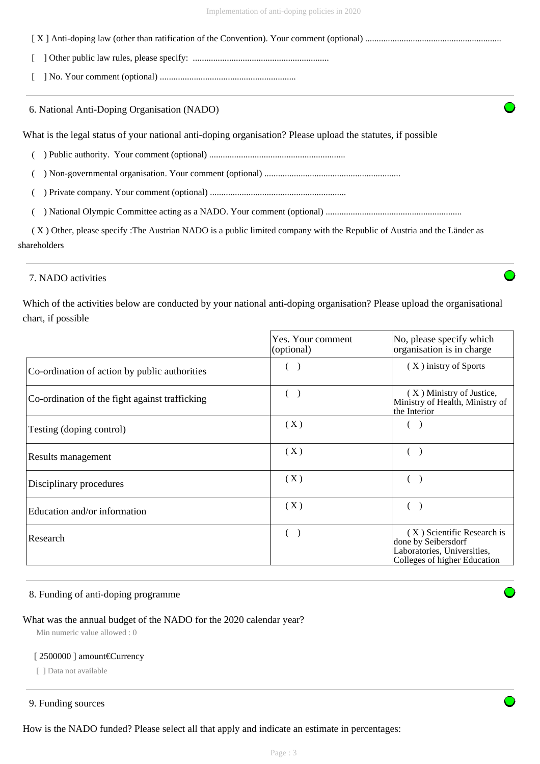| 6. National Anti-Doping Organisation (NADO)                                                                             |
|-------------------------------------------------------------------------------------------------------------------------|
| What is the legal status of your national anti-doping organisation? Please upload the statutes, if possible             |
|                                                                                                                         |
|                                                                                                                         |
|                                                                                                                         |
|                                                                                                                         |
| (X) Other, please specify: The Austrian NADO is a public limited company with the Republic of Austria and the Länder as |
| shareholders                                                                                                            |

### 7. NADO activities

Which of the activities below are conducted by your national anti-doping organisation? Please upload the organisational chart, if possible

|                                                | Yes. Your comment<br>(optional) | No, please specify which<br>organisation is in charge                                                            |
|------------------------------------------------|---------------------------------|------------------------------------------------------------------------------------------------------------------|
| Co-ordination of action by public authorities  |                                 | (X) inistry of Sports                                                                                            |
| Co-ordination of the fight against trafficking |                                 | (X) Ministry of Justice,<br>Ministry of Health, Ministry of<br>the Interior                                      |
| Testing (doping control)                       | (X)                             |                                                                                                                  |
| Results management                             | (X)                             |                                                                                                                  |
| Disciplinary procedures                        | (X)                             |                                                                                                                  |
| Education and/or information                   | (X)                             |                                                                                                                  |
| Research                                       |                                 | (X) Scientific Research is<br>done by Seibersdorf<br>Laboratories, Universities,<br>Colleges of higher Education |

### 8. Funding of anti-doping programme

### What was the annual budget of the NADO for the 2020 calendar year?

Min numeric value allowed : 0

#### [ 2500000 ] amount€Currency

[ ] Data not available

### 9. Funding sources

How is the NADO funded? Please select all that apply and indicate an estimate in percentages: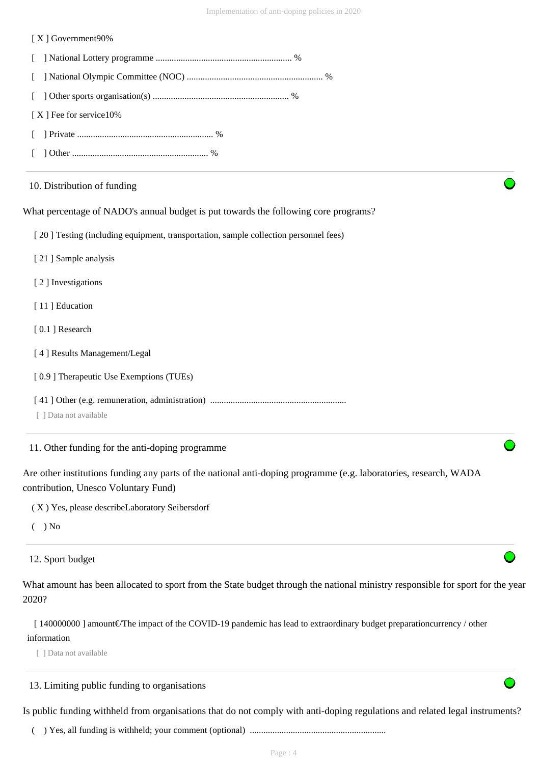#### [ X ] Government90%

| [X] Fee for service 10% |  |
|-------------------------|--|
|                         |  |
|                         |  |

#### 10. Distribution of funding

What percentage of NADO's annual budget is put towards the following core programs?

[ 20 ] Testing (including equipment, transportation, sample collection personnel fees)

[ 21 ] Sample analysis

[ 2 ] Investigations

[11] Education

[ 0.1 ] Research

[ 4 ] Results Management/Legal

[  $0.9$  ] Therapeutic Use Exemptions (TUEs)

[ 41 ] Other (e.g. remuneration, administration) ............................................................

[ ] Data not available

11. Other funding for the anti-doping programme

Are other institutions funding any parts of the national anti-doping programme (e.g. laboratories, research, WADA contribution, Unesco Voluntary Fund)

( X ) Yes, please describeLaboratory Seibersdorf

 $($   $)$  No

12. Sport budget

What amount has been allocated to sport from the State budget through the national ministry responsible for sport for the year 2020?

 [ 140000000 ] amount€/The impact of the COVID-19 pandemic has lead to extraordinary budget preparationcurrency / other information

[ ] Data not available

#### 13. Limiting public funding to organisations

Is public funding withheld from organisations that do not comply with anti-doping regulations and related legal instruments?

( ) Yes, all funding is withheld; your comment (optional) ............................................................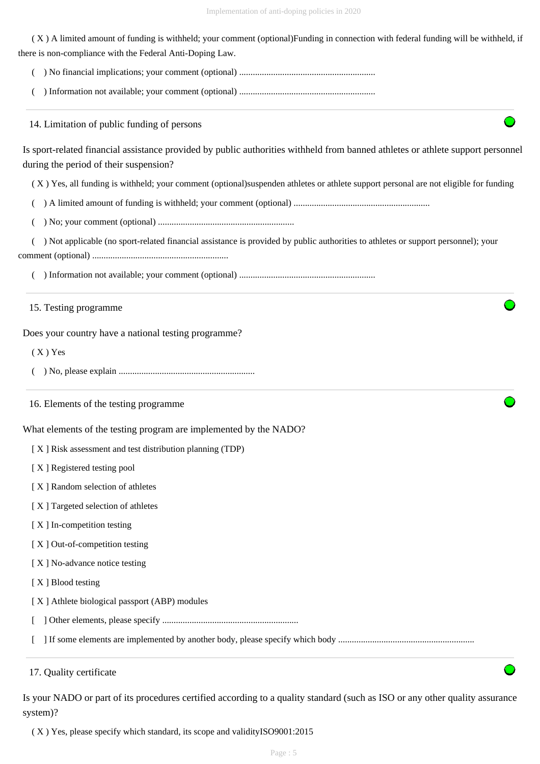( X ) A limited amount of funding is withheld; your comment (optional)Funding in connection with federal funding will be withheld, if there is non-compliance with the Federal Anti-Doping Law.

( ) No financial implications; your comment (optional) ............................................................

( ) Information not available; your comment (optional) ............................................................

14. Limitation of public funding of persons

| Is sport-related financial assistance provided by public authorities withheld from banned athletes or athlete support personnel |  |
|---------------------------------------------------------------------------------------------------------------------------------|--|
| during the period of their suspension?                                                                                          |  |

( X ) Yes, all funding is withheld; your comment (optional)suspenden athletes or athlete support personal are not eligible for funding

( ) A limited amount of funding is withheld; your comment (optional) ............................................................

( ) No; your comment (optional) ............................................................

 ( ) Not applicable (no sport-related financial assistance is provided by public authorities to athletes or support personnel); your comment (optional) ............................................................

( ) Information not available; your comment (optional) ............................................................

15. Testing programme

Does your country have a national testing programme?

 $(X)$  Yes

( ) No, please explain ............................................................

16. Elements of the testing programme

What elements of the testing program are implemented by the NADO?

[ X ] Risk assessment and test distribution planning (TDP)

[X] Registered testing pool

- [X] Random selection of athletes
- [ X ] Targeted selection of athletes
- [X ] In-competition testing
- [ X ] Out-of-competition testing
- [X] No-advance notice testing
- [ X ] Blood testing
- [ X ] Athlete biological passport (ABP) modules
- [ ] Other elements, please specify ............................................................
- [ ] If some elements are implemented by another body, please specify which body ............................................................

17. Quality certificate

Is your NADO or part of its procedures certified according to a quality standard (such as ISO or any other quality assurance system)?

( X ) Yes, please specify which standard, its scope and validityISO9001:2015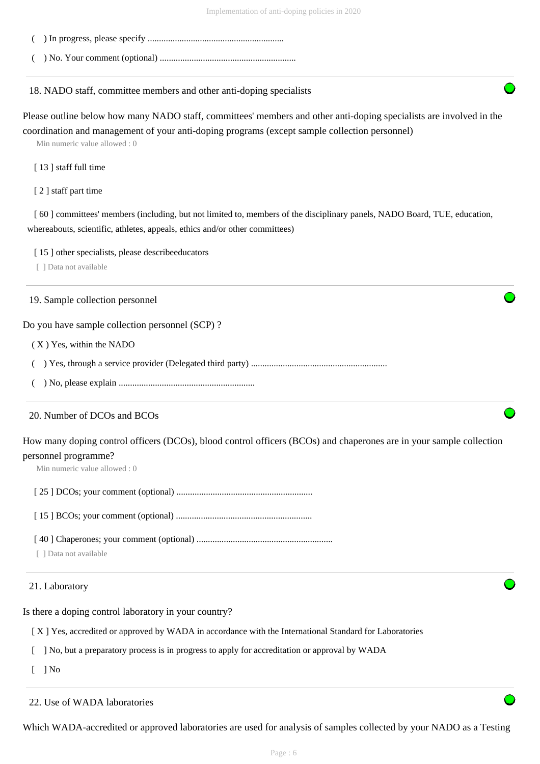- ( ) In progress, please specify ............................................................
- ( ) No. Your comment (optional) ............................................................

18. NADO staff, committee members and other anti-doping specialists

Please outline below how many NADO staff, committees' members and other anti-doping specialists are involved in the coordination and management of your anti-doping programs (except sample collection personnel)

Min numeric value allowed : 0

[13] staff full time

[ 2 ] staff part time

[ 60 ] committees' members (including, but not limited to, members of the disciplinary panels, NADO Board, TUE, education, whereabouts, scientific, athletes, appeals, ethics and/or other committees)

[15] other specialists, please describeeducators

[ ] Data not available

#### 19. Sample collection personnel

Do you have sample collection personnel (SCP) ?

( X ) Yes, within the NADO

( ) Yes, through a service provider (Delegated third party) ............................................................

( ) No, please explain ............................................................

### 20. Number of DCOs and BCOs

How many doping control officers (DCOs), blood control officers (BCOs) and chaperones are in your sample collection personnel programme?

Min numeric value allowed : 0

[ 25 ] DCOs; your comment (optional) ............................................................

[ 15 ] BCOs; your comment (optional) ............................................................

[ 40 ] Chaperones; your comment (optional) ............................................................

[ ] Data not available

#### 21. Laboratory

Is there a doping control laboratory in your country?

[ X ] Yes, accredited or approved by WADA in accordance with the International Standard for Laboratories

[ ] No, but a preparatory process is in progress to apply for accreditation or approval by WADA

 $\lceil$   $\rceil$  No

22. Use of WADA laboratories

Which WADA-accredited or approved laboratories are used for analysis of samples collected by your NADO as a Testing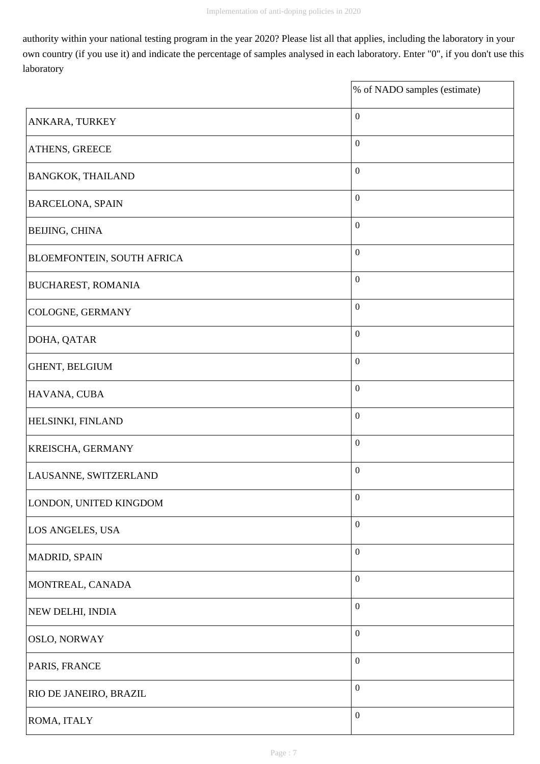$\overline{\mathbf{1}}$ 

authority within your national testing program in the year 2020? Please list all that applies, including the laboratory in your own country (if you use it) and indicate the percentage of samples analysed in each laboratory. Enter "0", if you don't use this laboratory

|                                   | % of NADO samples (estimate) |
|-----------------------------------|------------------------------|
| ANKARA, TURKEY                    | $\boldsymbol{0}$             |
| <b>ATHENS, GREECE</b>             | $\boldsymbol{0}$             |
| <b>BANGKOK, THAILAND</b>          | $\boldsymbol{0}$             |
| <b>BARCELONA, SPAIN</b>           | $\boldsymbol{0}$             |
| <b>BEIJING, CHINA</b>             | $\boldsymbol{0}$             |
| <b>BLOEMFONTEIN, SOUTH AFRICA</b> | $\boldsymbol{0}$             |
| <b>BUCHAREST, ROMANIA</b>         | $\boldsymbol{0}$             |
| COLOGNE, GERMANY                  | $\boldsymbol{0}$             |
| DOHA, QATAR                       | $\boldsymbol{0}$             |
| GHENT, BELGIUM                    | $\boldsymbol{0}$             |
| HAVANA, CUBA                      | $\boldsymbol{0}$             |
| <b>HELSINKI, FINLAND</b>          | $\boldsymbol{0}$             |
| <b>KREISCHA, GERMANY</b>          | $\boldsymbol{0}$             |
| LAUSANNE, SWITZERLAND             | $\boldsymbol{0}$             |
| LONDON, UNITED KINGDOM            | $\boldsymbol{0}$             |
| LOS ANGELES, USA                  | $\boldsymbol{0}$             |
| MADRID, SPAIN                     | $\boldsymbol{0}$             |
| MONTREAL, CANADA                  | $\boldsymbol{0}$             |
| NEW DELHI, INDIA                  | $\boldsymbol{0}$             |
| <b>OSLO, NORWAY</b>               | $\boldsymbol{0}$             |
| PARIS, FRANCE                     | $\boldsymbol{0}$             |
| <b>RIO DE JANEIRO, BRAZIL</b>     | $\boldsymbol{0}$             |
| ROMA, ITALY                       | $\boldsymbol{0}$             |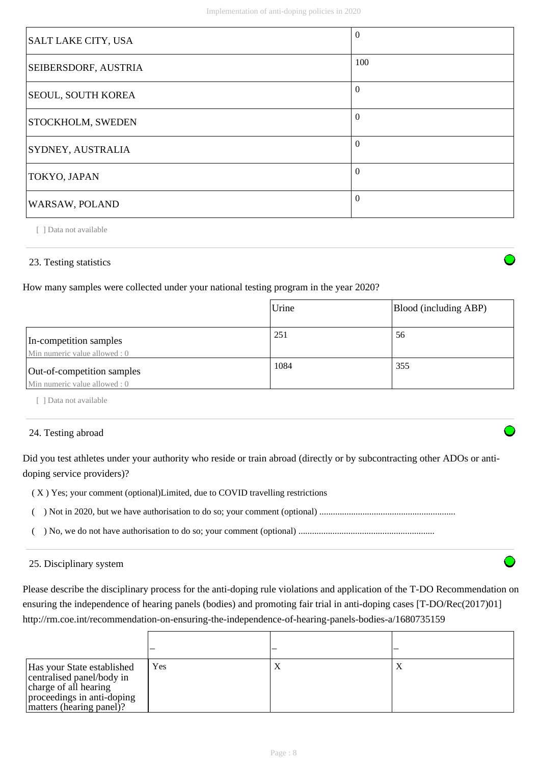| SALT LAKE CITY, USA      | $\Omega$ |
|--------------------------|----------|
| SEIBERSDORF, AUSTRIA     | 100      |
| SEOUL, SOUTH KOREA       | $\Omega$ |
| <b>STOCKHOLM, SWEDEN</b> | $\Omega$ |
| SYDNEY, AUSTRALIA        | $\theta$ |
| TOKYO, JAPAN             | $\Omega$ |
| WARSAW, POLAND           | $\Omega$ |

[ ] Data not available

### 23. Testing statistics

How many samples were collected under your national testing program in the year 2020?

|                                                             | Urine | Blood (including ABP) |
|-------------------------------------------------------------|-------|-----------------------|
| In-competition samples<br>Min numeric value allowed : 0     | 251   | 56                    |
| Out-of-competition samples<br>Min numeric value allowed : 0 | 1084  | 355                   |

[ ] Data not available

### 24. Testing abroad

Did you test athletes under your authority who reside or train abroad (directly or by subcontracting other ADOs or antidoping service providers)?

( X ) Yes; your comment (optional)Limited, due to COVID travelling restrictions

 $\mathsf{r}$ 

- ( ) Not in 2020, but we have authorisation to do so; your comment (optional) ............................................................
- ( ) No, we do not have authorisation to do so; your comment (optional) ............................................................

#### 25. Disciplinary system

Please describe the disciplinary process for the anti-doping rule violations and application of the T-DO Recommendation on ensuring the independence of hearing panels (bodies) and promoting fair trial in anti-doping cases [T-DO/Rec(2017)01] http://rm.coe.int/recommendation-on-ensuring-the-independence-of-hearing-panels-bodies-a/1680735159

| Has your State established<br>centralised panel/body in<br>charge of all hearing<br>proceedings in anti-doping<br>matters (hearing panel)? | Yes | $\Lambda$ |
|--------------------------------------------------------------------------------------------------------------------------------------------|-----|-----------|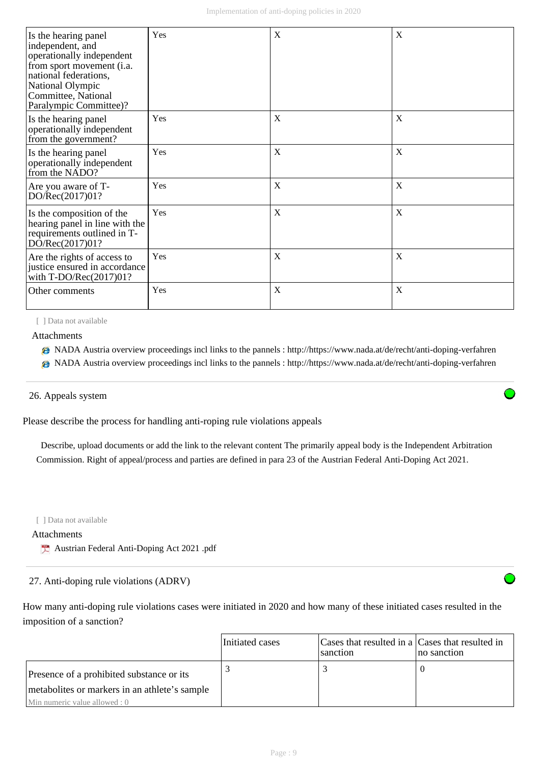| Is the hearing panel<br>independent, and<br>operationally independent<br>from sport movement (i.a.<br>national federations,<br>National Olympic<br>Committee, National<br>Paralympic Committee)? | Yes | X | X |
|--------------------------------------------------------------------------------------------------------------------------------------------------------------------------------------------------|-----|---|---|
| Is the hearing panel<br>operationally independent<br>from the government?                                                                                                                        | Yes | X | X |
| Is the hearing panel<br>operationally independent<br>from the NADO?                                                                                                                              | Yes | X | X |
| Are you aware of T-<br>DO/Rec(2017)01?                                                                                                                                                           | Yes | X | X |
| Is the composition of the<br>hearing panel in line with the<br>requirements outlined in T-<br>DO/Rec(2017)01?                                                                                    | Yes | X | X |
| Are the rights of access to<br>justice ensured in accordance<br>with $T\text{-DO/Rec}(2017)01?$                                                                                                  | Yes | X | X |
| Other comments                                                                                                                                                                                   | Yes | X | X |

[ ] Data not available

Attachments

- NADA Austria overview proceedings incl links to the pannels : http://https://www.nada.at/de/recht/anti-doping-verfahren
- NADA Austria overview proceedings incl links to the pannels : http://https://www.nada.at/de/recht/anti-doping-verfahren

#### 26. Appeals system

Please describe the process for handling anti-roping rule violations appeals

 Describe, upload documents or add the link to the relevant content The primarily appeal body is the Independent Arbitration Commission. Right of appeal/process and parties are defined in para 23 of the Austrian Federal Anti-Doping Act 2021.

[ ] Data not available

### Attachments

Austrian Federal Anti-Doping Act 2021 .pdf

27. Anti-doping rule violations (ADRV)

How many anti-doping rule violations cases were initiated in 2020 and how many of these initiated cases resulted in the imposition of a sanction?

|                                               | Initiated cases | Cases that resulted in a Cases that resulted in<br>sanction | no sanction |
|-----------------------------------------------|-----------------|-------------------------------------------------------------|-------------|
| Presence of a prohibited substance or its     |                 |                                                             |             |
| metabolites or markers in an athlete's sample |                 |                                                             |             |
| Min numeric value allowed : 0                 |                 |                                                             |             |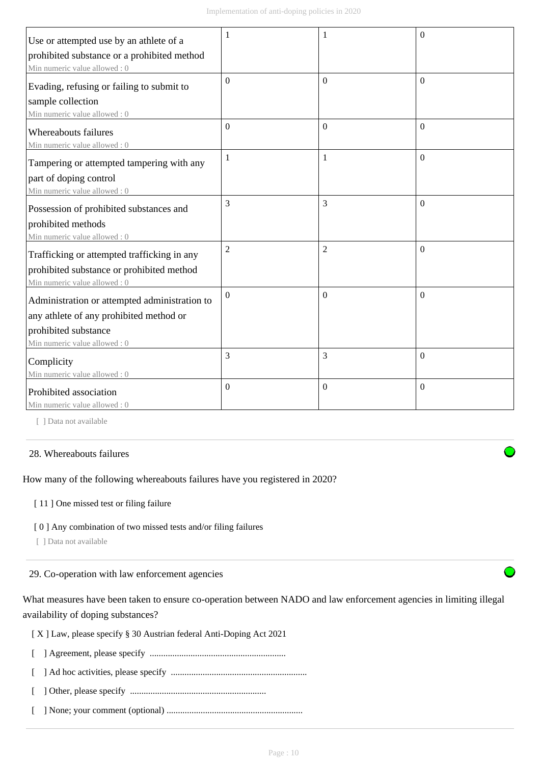| Use or attempted use by an athlete of a       |                |                | $\Omega$ |
|-----------------------------------------------|----------------|----------------|----------|
| prohibited substance or a prohibited method   |                |                |          |
| Min numeric value allowed: 0                  |                |                |          |
| Evading, refusing or failing to submit to     | $\Omega$       | $\Omega$       | $\Omega$ |
| sample collection                             |                |                |          |
| Min numeric value allowed: 0                  |                |                |          |
| Whereabouts failures                          | $\Omega$       | $\theta$       | $\theta$ |
| Min numeric value allowed: 0                  |                |                |          |
| Tampering or attempted tampering with any     | 1              | 1              | $\Omega$ |
| part of doping control                        |                |                |          |
| Min numeric value allowed: 0                  |                |                |          |
| Possession of prohibited substances and       | 3              | 3              | $\Omega$ |
| prohibited methods                            |                |                |          |
| Min numeric value allowed: 0                  |                |                |          |
| Trafficking or attempted trafficking in any   | $\overline{2}$ | $\overline{2}$ | $\Omega$ |
| prohibited substance or prohibited method     |                |                |          |
| Min numeric value allowed: 0                  |                |                |          |
| Administration or attempted administration to | $\Omega$       | $\Omega$       | $\Omega$ |
| any athlete of any prohibited method or       |                |                |          |
| prohibited substance                          |                |                |          |
| Min numeric value allowed: 0                  |                |                |          |
| Complicity                                    | 3              | 3              | $\theta$ |
| Min numeric value allowed: 0                  |                |                |          |
| Prohibited association                        | $\Omega$       | $\theta$       | $\Omega$ |
| Min numeric value allowed: 0                  |                |                |          |

[ ] Data not available

### 28. Whereabouts failures

How many of the following whereabouts failures have you registered in 2020?

[11] One missed test or filing failure

[ 0 ] Any combination of two missed tests and/or filing failures

[ ] Data not available

29. Co-operation with law enforcement agencies

What measures have been taken to ensure co-operation between NADO and law enforcement agencies in limiting illegal availability of doping substances?

[ X ] Law, please specify § 30 Austrian federal Anti-Doping Act 2021

[ ] Agreement, please specify ............................................................

[ ] Ad hoc activities, please specify ............................................................

[ ] Other, please specify ............................................................

[ ] None; your comment (optional) ............................................................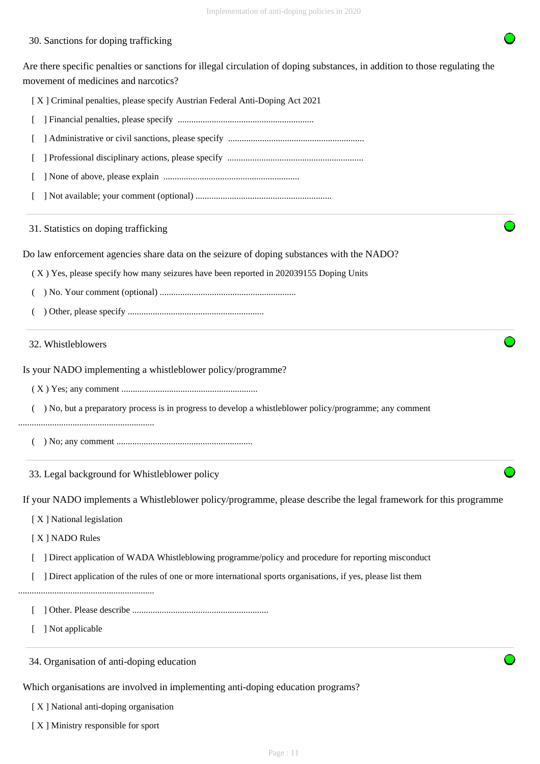### 30. Sanctions for doping trafficking

Are there specific penalties or sanctions for illegal circulation of doping substances, in addition to those regulating the movement of medicines and narcotics?

[ X ] Criminal penalties, please specify Austrian Federal Anti-Doping Act 2021

- [ ] Financial penalties, please specify ............................................................
- [ ] Administrative or civil sanctions, please specify ............................................................
- [ ] Professional disciplinary actions, please specify ............................................................
- [ ] None of above, please explain ............................................................
- [ ] Not available; your comment (optional) ............................................................

31. Statistics on doping trafficking

Do law enforcement agencies share data on the seizure of doping substances with the NADO?

( X ) Yes, please specify how many seizures have been reported in 202039155 Doping Units

( ) No. Your comment (optional) ............................................................

( ) Other, please specify ............................................................

#### 32. Whistleblowers

Is your NADO implementing a whistleblower policy/programme?

( X ) Yes; any comment ............................................................

( ) No, but a preparatory process is in progress to develop a whistleblower policy/programme; any comment

- ............................................................
	- ( ) No; any comment ............................................................

33. Legal background for Whistleblower policy

If your NADO implements a Whistleblower policy/programme, please describe the legal framework for this programme

[X] National legislation

[ X ] NADO Rules

- [ ] Direct application of WADA Whistleblowing programme/policy and procedure for reporting misconduct
- [ ] Direct application of the rules of one or more international sports organisations, if yes, please list them
- ............................................................
	- [ ] Other. Please describe ............................................................
	- [ ] Not applicable
	- 34. Organisation of anti-doping education

Which organisations are involved in implementing anti-doping education programs?

[ X ] National anti-doping organisation

[ X ] Ministry responsible for sport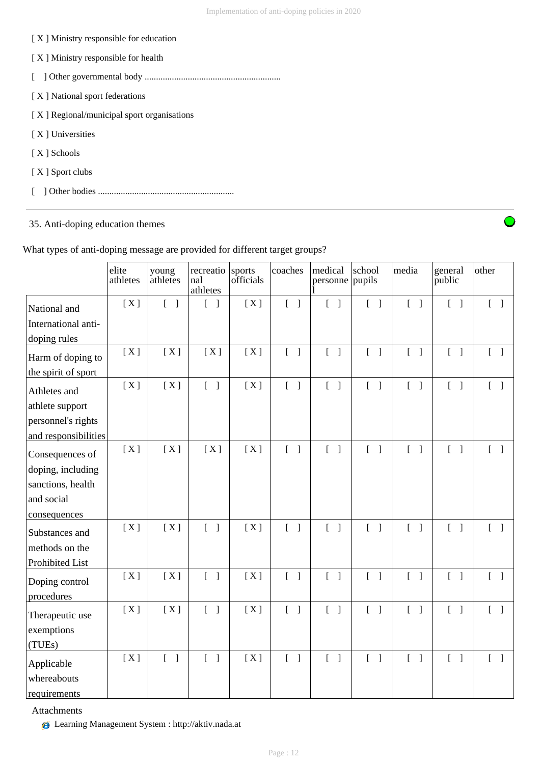| $[X]$ Ministry responsible for education   |
|--------------------------------------------|
| [X] Ministry responsible for health        |
|                                            |
| [X] National sport federations             |
| [X] Regional/municipal sport organisations |
| [X] Universities                           |
| [X ] Schools                               |
| [X ] Sport clubs                           |
|                                            |
|                                            |

35. Anti-doping education themes

|                                                                                         | elite<br>athletes | young<br>athletes                 | recreatio sports<br>nal<br>athletes   | officials | coaches                           | medical<br>personne pupils        | school                            | media                             | general<br>public                 | other                             |
|-----------------------------------------------------------------------------------------|-------------------|-----------------------------------|---------------------------------------|-----------|-----------------------------------|-----------------------------------|-----------------------------------|-----------------------------------|-----------------------------------|-----------------------------------|
| National and<br>International anti-<br>doping rules                                     | [X]               | $\begin{bmatrix} 1 \end{bmatrix}$ | L<br>$\Box$                           | [X]       | $\begin{bmatrix} 1 \end{bmatrix}$ | $\begin{bmatrix} 1 \end{bmatrix}$ | $\begin{bmatrix} 1 \end{bmatrix}$ | $\begin{bmatrix} 1 \end{bmatrix}$ | $\begin{bmatrix} 1 \end{bmatrix}$ | $\begin{bmatrix} 1 \end{bmatrix}$ |
| Harm of doping to<br>the spirit of sport                                                | [X]               | [X]                               | [X]                                   | [X]       | $\begin{bmatrix} 1 \end{bmatrix}$ | $\begin{bmatrix} 1 \end{bmatrix}$ | $\begin{bmatrix} 1 \end{bmatrix}$ | $\begin{bmatrix} 1 \end{bmatrix}$ | $\begin{bmatrix} 1 \end{bmatrix}$ | $\begin{bmatrix} 1 \end{bmatrix}$ |
| Athletes and<br>athlete support<br>personnel's rights<br>and responsibilities           | [X]               | [X]                               | $\begin{bmatrix} 1 \end{bmatrix}$     | [X]       | $\begin{bmatrix} 1 \end{bmatrix}$ | $\begin{bmatrix} 1 \end{bmatrix}$ | $\begin{bmatrix} 1 \end{bmatrix}$ | $[\ ]$                            | $\begin{bmatrix} 1 \end{bmatrix}$ | $\begin{bmatrix} 1 \end{bmatrix}$ |
| Consequences of<br>doping, including<br>sanctions, health<br>and social<br>consequences | [X]               | [X]                               | [X]                                   | [X]       | $\begin{bmatrix} 1 \end{bmatrix}$ | $\begin{bmatrix} 1 \end{bmatrix}$ | $\begin{bmatrix} 1 \end{bmatrix}$ | $\begin{bmatrix} 1 \end{bmatrix}$ | $\begin{bmatrix} 1 \end{bmatrix}$ | $\begin{bmatrix} 1 \end{bmatrix}$ |
| Substances and<br>methods on the<br>Prohibited List                                     | [X]               | [X]                               | $\begin{bmatrix} 1 \end{bmatrix}$     | [X]       | $\begin{bmatrix} 1 \end{bmatrix}$ | $[\ ]$                            | $[\ ]$                            | $\begin{bmatrix} 1 \end{bmatrix}$ | $\begin{bmatrix} 1 \end{bmatrix}$ | $\begin{bmatrix} 1 \end{bmatrix}$ |
| Doping control<br>procedures                                                            | [X]               | [X]                               | $\begin{bmatrix} 1 & 1 \end{bmatrix}$ | [X]       | $\begin{bmatrix} 1 \end{bmatrix}$ | $\begin{bmatrix} 1 \end{bmatrix}$ | $\begin{bmatrix} 1 \end{bmatrix}$ | $\begin{bmatrix} 1 \end{bmatrix}$ | $\begin{bmatrix} 1 \end{bmatrix}$ | $\begin{bmatrix} 1 \end{bmatrix}$ |
| Therapeutic use<br>exemptions<br>(TUEs)                                                 | [X]               | [X]                               | $\begin{bmatrix} 1 \end{bmatrix}$     | [X]       | $\begin{bmatrix} 1 \end{bmatrix}$ | $[ \ ]$                           | $\begin{bmatrix} 1 \end{bmatrix}$ | $\begin{bmatrix} 1 \end{bmatrix}$ | $\begin{bmatrix} 1 \end{bmatrix}$ | $\begin{bmatrix} 1 \end{bmatrix}$ |
| Applicable<br>whereabouts<br>requirements                                               | [X]               | $\Gamma$<br>$\Box$                | $\begin{bmatrix} 1 \end{bmatrix}$     | [X]       | $\begin{bmatrix} 1 \end{bmatrix}$ | $\begin{bmatrix} 1 \end{bmatrix}$ | $\begin{bmatrix} 1 \end{bmatrix}$ | $\begin{bmatrix} 1 \end{bmatrix}$ | $\begin{bmatrix} 1 \end{bmatrix}$ | $\lceil \; \rceil$                |

What types of anti-doping message are provided for different target groups?

Attachments

Learning Management System : http://aktiv.nada.at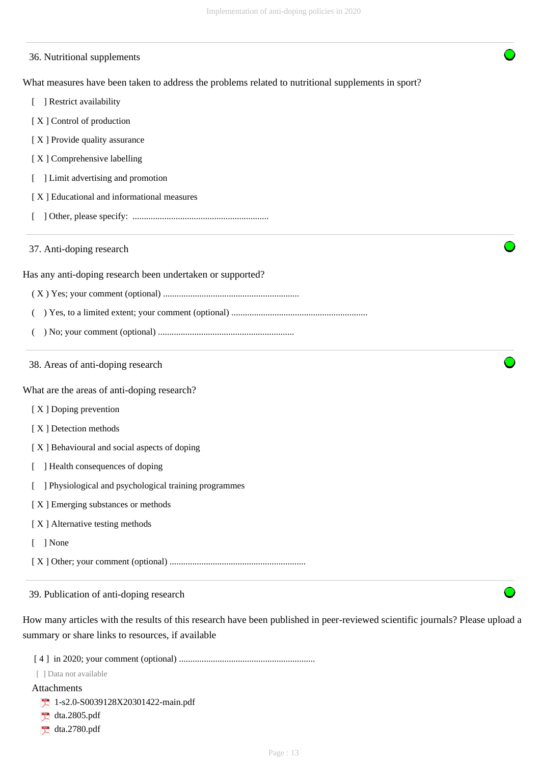| 36. Nutritional supplements                                                                        |  |
|----------------------------------------------------------------------------------------------------|--|
| What measures have been taken to address the problems related to nutritional supplements in sport? |  |
| ] Restrict availability                                                                            |  |
| [X] Control of production                                                                          |  |
| [X] Provide quality assurance                                                                      |  |
| [X] Comprehensive labelling                                                                        |  |
| ] Limit advertising and promotion                                                                  |  |
| [X] Educational and informational measures                                                         |  |
|                                                                                                    |  |
| 37. Anti-doping research                                                                           |  |
| Has any anti-doping research been undertaken or supported?                                         |  |
|                                                                                                    |  |
|                                                                                                    |  |
|                                                                                                    |  |
| 38. Areas of anti-doping research                                                                  |  |
| What are the areas of anti-doping research?                                                        |  |
| [X] Doping prevention                                                                              |  |
| [X] Detection methods                                                                              |  |
| [X] Behavioural and social aspects of doping                                                       |  |
| ] Health consequences of doping                                                                    |  |
| ] Physiological and psychological training programmes                                              |  |
| [X] Emerging substances or methods                                                                 |  |
| [X] Alternative testing methods                                                                    |  |
| [ ] None                                                                                           |  |
|                                                                                                    |  |
| 39. Publication of anti-doping research                                                            |  |

How many articles with the results of this research have been published in peer-reviewed scientific journals? Please upload a summary or share links to resources, if available

[ 4 ] in 2020; your comment (optional) ............................................................

[ ] Data not available

#### Attachments

- 1-s2.0-S0039128X20301422-main.pdf
- dta.2805.pdf
- dta.2780.pdf